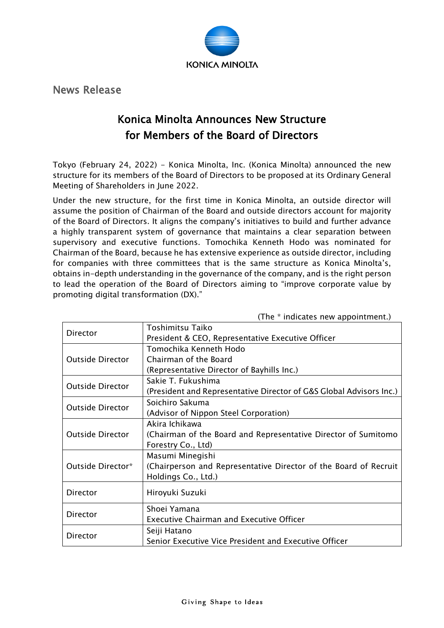

News Release

## Konica Minolta Announces New Structure for Members of the Board of Directors

Tokyo (February 24, 2022) - Konica Minolta, Inc. (Konica Minolta) announced the new structure for its members of the Board of Directors to be proposed at its Ordinary General Meeting of Shareholders in June 2022.

Under the new structure, for the first time in Konica Minolta, an outside director will assume the position of Chairman of the Board and outside directors account for majority of the Board of Directors. It aligns the company's initiatives to build and further advance a highly transparent system of governance that maintains a clear separation between supervisory and executive functions. Tomochika Kenneth Hodo was nominated for Chairman of the Board, because he has extensive experience as outside director, including for companies with three committees that is the same structure as Konica Minolta's, obtains in-depth understanding in the governance of the company, and is the right person to lead the operation of the Board of Directors aiming to "improve corporate value by promoting digital transformation (DX)."

|                         | .<br>$\frac{1}{2}$                                                    |
|-------------------------|-----------------------------------------------------------------------|
| Director                | Toshimitsu Taiko<br>President & CEO, Representative Executive Officer |
|                         | Tomochika Kenneth Hodo                                                |
| <b>Outside Director</b> |                                                                       |
|                         | Chairman of the Board                                                 |
|                         | (Representative Director of Bayhills Inc.)                            |
| <b>Outside Director</b> | Sakie T. Fukushima                                                    |
|                         | (President and Representative Director of G&S Global Advisors Inc.)   |
| <b>Outside Director</b> | Soichiro Sakuma                                                       |
|                         | (Advisor of Nippon Steel Corporation)                                 |
| <b>Outside Director</b> | Akira Ichikawa                                                        |
|                         | (Chairman of the Board and Representative Director of Sumitomo        |
|                         | Forestry Co., Ltd)                                                    |
| Outside Director*       | Masumi Minegishi                                                      |
|                         | (Chairperson and Representative Director of the Board of Recruit      |
|                         | Holdings Co., Ltd.)                                                   |
| Director                | Hiroyuki Suzuki                                                       |
|                         |                                                                       |
| Director                | Shoei Yamana                                                          |
|                         | <b>Executive Chairman and Executive Officer</b>                       |
| Director                | Seiji Hatano                                                          |
|                         | Senior Executive Vice President and Executive Officer                 |

 $(The * indicate new annotation$